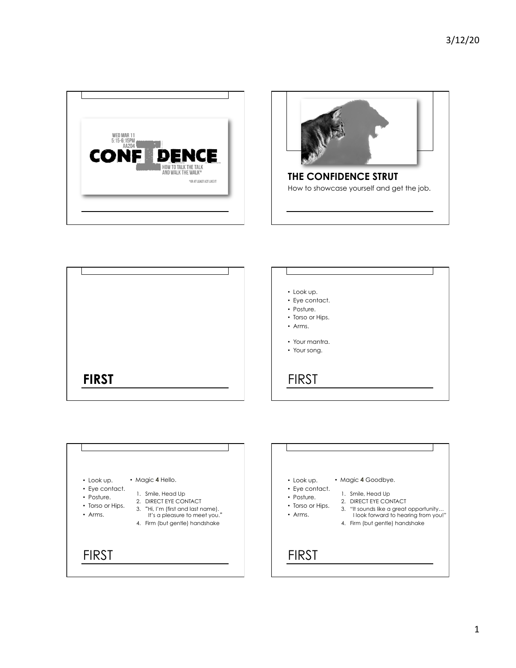







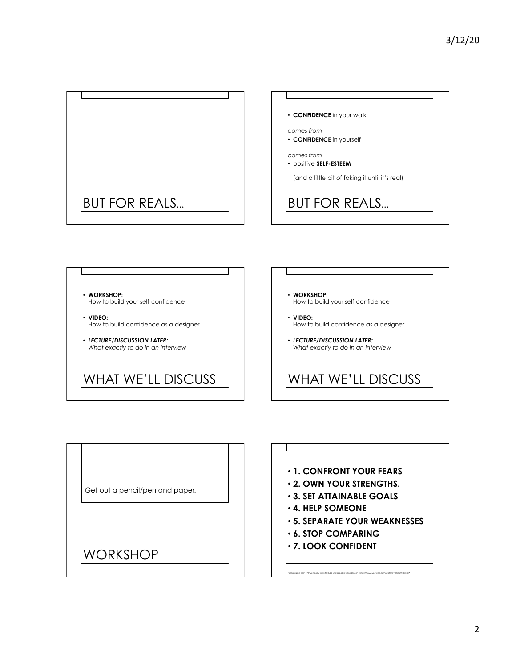



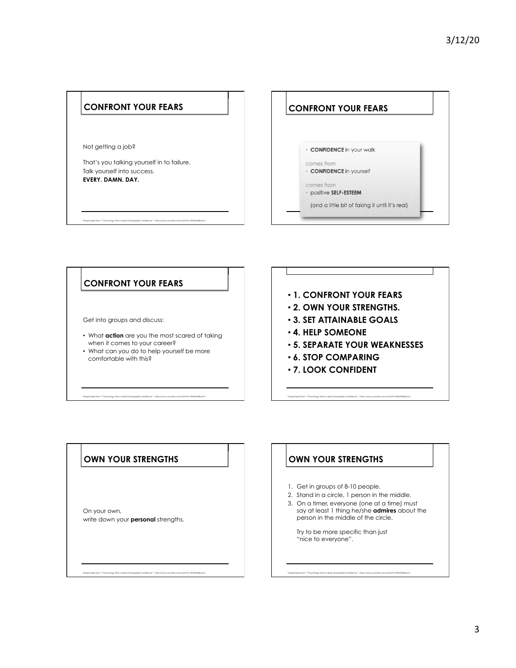



Get into groups and discuss:

- What **action** are you the most scared of taking when it comes to your career?
- What can you do to help yourself be more comfortable with this?

Paraphrased from "7 Psychology Tricks to Build Unstoppable Confidence" - https://www.youtube.com/watch?v=RWbX958xwCA

- **1. CONFRONT YOUR FEARS**
- **2. OWN YOUR STRENGTHS.**
- **3. SET ATTAINABLE GOALS**
- **4. HELP SOMEONE**
- **5. SEPARATE YOUR WEAKNESSES**

Paraphrased from "7 Psychology Tricks to Build Unstoppable Confidence" - https://www.youtube.com/watch?v=RWbX958xwCA

- **6. STOP COMPARING**
- **7. LOOK CONFIDENT**

#### **OWN YOUR STRENGTHS**

On your own, write down your **personal** strengths. **OWN YOUR STRENGTHS** 

- 1. Get in groups of 8-10 people.
- 2. Stand in a circle, 1 person in the middle.
- 3. On a timer, everyone (one at a time) must say at least 1 thing he/she **admires** about the person in the middle of the circle.

Try to be more specific than just "nice to everyone".

Paraphrased from "7 Psychology Tricks to Build Unstoppable Confidence" - https://www.youtube.com/watch?v=RWbX958xwCA

Paraphrased from "7 Psychology Tricks to Build Unstoppable Confidence" - https://www.youtube.com/watch?v=RWbX958xwCA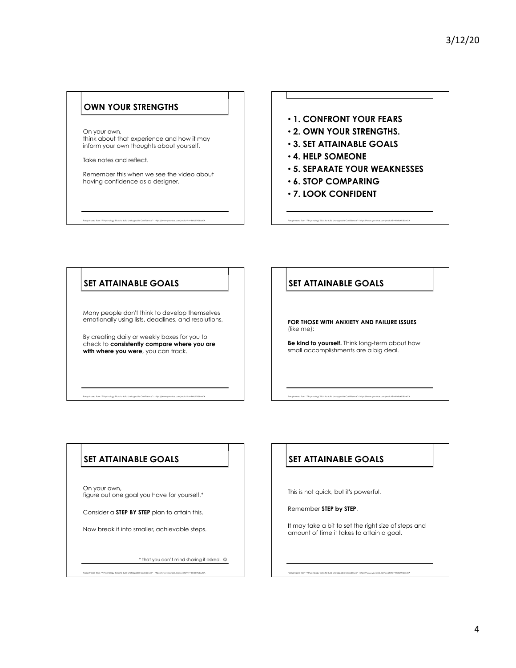#### **OWN YOUR STRENGTHS**

On your own, think about that experience and how it may inform your own thoughts about yourself.

Take notes and reflect.

Remember this when we see the video about having confidence as a designer.

Paraphrased from "7 Psychology Tricks to Build Unstoppable Confidence" - https://www.youtube.com/watch?v=RWbX958xwCA

## • **1. CONFRONT YOUR FEARS**

- **2. OWN YOUR STRENGTHS.**
- **3. SET ATTAINABLE GOALS**
- **4. HELP SOMEONE**
- **5. SEPARATE YOUR WEAKNESSES**

Paraphrased from "7 Psychology Tricks to Build Unstoppable Confidence" - https://www.youtube.com/watch?v=RWbX958xwCA

- **6. STOP COMPARING**
- **7. LOOK CONFIDENT**

#### **SET ATTAINABLE GOALS**

Many people don't think to develop themselves emotionally using lists, deadlines, and resolutions.

By creating daily or weekly boxes for you to check to **consistently compare where you are with where you were**, you can track.

Paraphrased from "7 Psychology Tricks to Build Unstoppable Confidence" - https://www.youtube.com/watch?v=RWbX958xwCA

#### **SET ATTAINABLE GOALS**

**FOR THOSE WITH ANXIETY AND FAILURE ISSUES**  (like me):

**Be kind to yourself.** Think long-term about how small accomplishments are a big deal.

Paraphrased from "7 Psychology Tricks to Build Unstoppable Confidence" - https://www.youtube.com/watch?v=RWbX958xwCA

#### **SET ATTAINABLE GOALS**

On your own, figure out one goal you have for yourself.\*

Consider a **STEP BY STEP** plan to attain this.

Now break it into smaller, achievable steps.

 $^*$  that you don't mind sharing if asked.  $\circledcirc$ 

Paraphrased from "7 Psychology Tricks to Build Unstoppable Confidence" - https://www.youtube.com/watch?v=RWbX958xwCA

# **SET ATTAINABLE GOALS**

This is not quick, but it's powerful.

Remember **STEP by STEP**.

It may take a bit to set the right size of steps and amount of time it takes to attain a goal.

Paraphrased from "7 Psychology Tricks to Build Unstoppable Confidence" - https://www.youtube.com/watch?v=RWbX958xwCA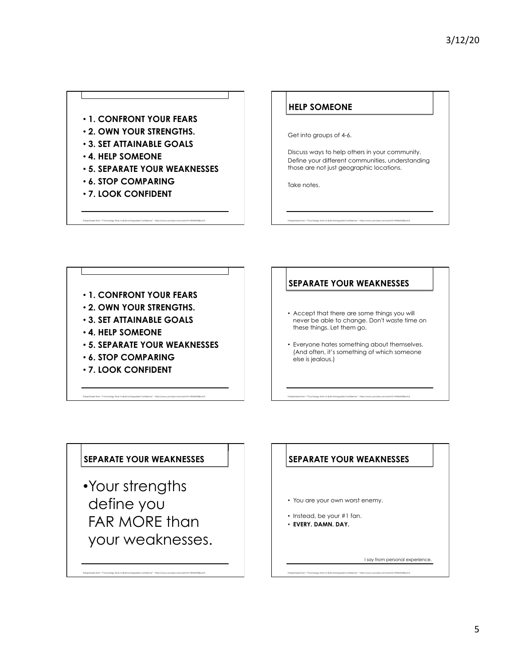#### • **1. CONFRONT YOUR FEARS**

- **2. OWN YOUR STRENGTHS.**
- **3. SET ATTAINABLE GOALS**
- **4. HELP SOMEONE**
- **5. SEPARATE YOUR WEAKNESSES**
- **6. STOP COMPARING**
- **7. LOOK CONFIDENT**

#### **HELP SOMEONE**

Get into groups of 4-6.

Discuss ways to help others in your community. Define your different communities, understanding those are not just geographic locations.

Take notes.

-<br>Paraphrased form: "Phychology licis to build instagrable Confections" - http://www.youtube.com/welche-interaction-interactions and the confections of the confections of the confections of the confections into the confect

Paraphrased from "7 Psychology Tricks to Build Unstoppable Confidence" - https://www.youtube.com/watchRv=RWbX958xwCA <absorp/watchRv=RWbX958xwCA <absorp/watchRv=RWbX958xwCA <absorp/watchRv=RWbX958xwCA <absorp/watchRv=RWbX9

• **1. CONFRONT YOUR FEARS**  • **2. OWN YOUR STRENGTHS.**  • **3. SET ATTAINABLE GOALS**  • **4. HELP SOMEONE**  • **5. SEPARATE YOUR WEAKNESSES**  • **6. STOP COMPARING**  • **7. LOOK CONFIDENT** 

#### **SEPARATE YOUR WEAKNESSES**

- Accept that there are some things you will never be able to change. Don't waste time on these things. Let them go.
- Everyone hates something about themselves. (And often, it's something of which someone else is jealous.)

## **SEPARATE YOUR WEAKNESSES**

•Your strengths define you FAR MORE than your weaknesses.

Paraphrased from "7 Psychology Tricks to Build Unstoppable Confidence" - https://www.youtube.com/watch?v=RWbX958xwCA

## **SEPARATE YOUR WEAKNESSES**

- You are your own worst enemy.
- Instead, be your #1 fan.
- **EVERY. DAMN. DAY.**

I say from personal experience.

```
Paraphrased from "7 Psychology Tricks to Build Unstoppable Confidence" - https://www.youtube.com/watch?v=RWbX958xwCA
```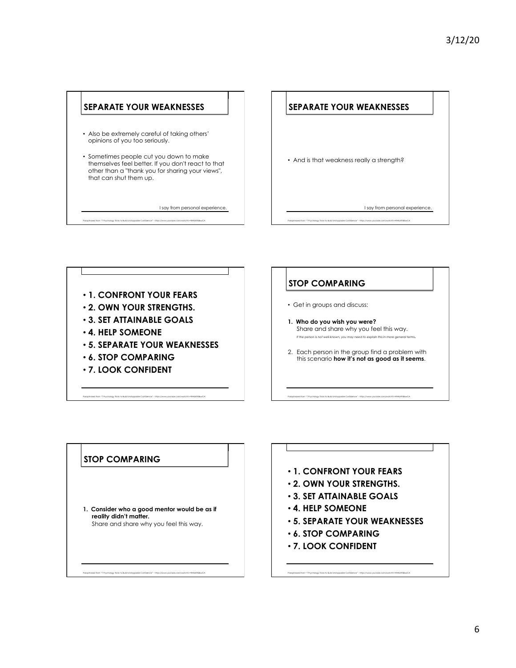

Paraphrased from "7 Psychology Tricks to Build Unstoppable Confidence" - https://www.youtube.com/watchRv=RWbX958xwCA <absorp/watchRv=RWbX958xwCA <absorp/watchRv=RWbX958xwCA <absorp/watchRv=RWbX958xwCA <absorp/watchRv=RWbX9

• **1. CONFRONT YOUR FEARS** 

- **2. OWN YOUR STRENGTHS.**
- **3. SET ATTAINABLE GOALS**
- **4. HELP SOMEONE**
- **5. SEPARATE YOUR WEAKNESSES**
- **6. STOP COMPARING**
- **7. LOOK CONFIDENT**

# **STOP COMPARING**

- Get in groups and discuss:
- **1. Who do you wish you were?**  Share and share why you feel this way. *If the person is not well-known, you may need to explain this in more general terms.*
- 2. Each person in the group find a problem with this scenario **how it's not as good as it seems**.

#### **STOP COMPARING**

**1. Consider who a good mentor would be as if reality didn't matter.**  Share and share why you feel this way.

Paraphrased from "7 Psychology Tricks to Build Unstoppable Confidence" - https://www.youtube.com/watch?v=RWbX958xwCA

#### • **1. CONFRONT YOUR FEARS**

- **2. OWN YOUR STRENGTHS.**
- **3. SET ATTAINABLE GOALS**
- **4. HELP SOMEONE**
- **5. SEPARATE YOUR WEAKNESSES**
- **6. STOP COMPARING**
- **7. LOOK CONFIDENT**

Paraphrased from "7 Psychology Tricks to Build Unstoppable Confidence" - https://www.youtube.com/watch?v=RWbX958xwCA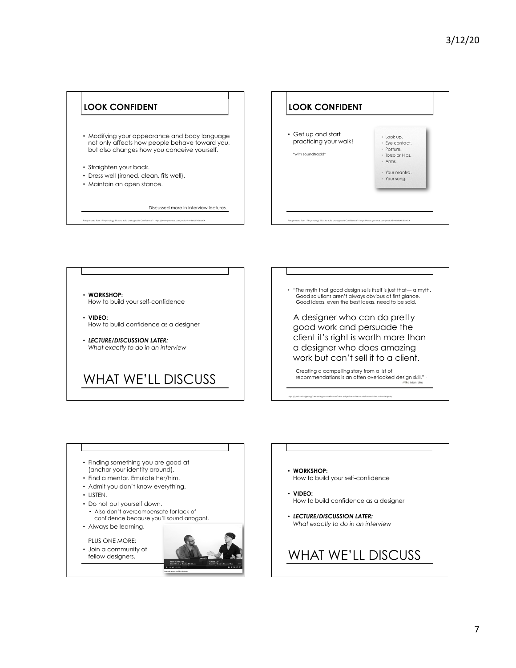